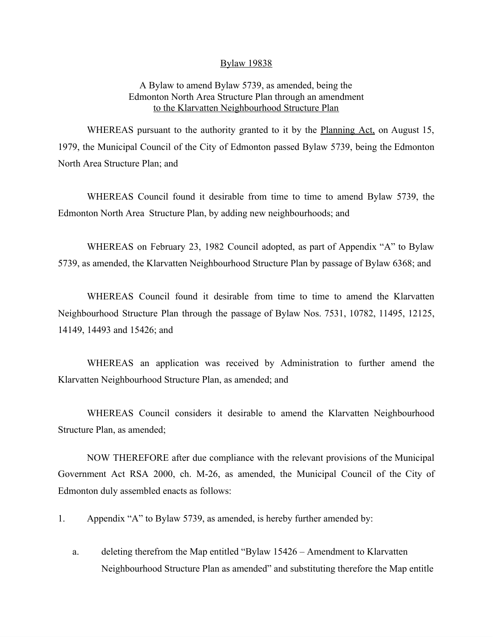## Bylaw 19838

## A Bylaw to amend Bylaw 5739, as amended, being the Edmonton North Area Structure Plan through an amendment to the Klarvatten Neighbourhood Structure Plan

WHEREAS pursuant to the authority granted to it by the **Planning Act**, on August 15, 1979, the Municipal Council of the City of Edmonton passed Bylaw 5739, being the Edmonton North Area Structure Plan; and

WHEREAS Council found it desirable from time to time to amend Bylaw 5739, the Edmonton North Area Structure Plan, by adding new neighbourhoods; and

WHEREAS on February 23, 1982 Council adopted, as part of Appendix "A" to Bylaw 5739, as amended, the Klarvatten Neighbourhood Structure Plan by passage of Bylaw 6368; and

WHEREAS Council found it desirable from time to time to amend the Klarvatten Neighbourhood Structure Plan through the passage of Bylaw Nos. 7531, 10782, 11495, 12125, 14149, 14493 and 15426; and

WHEREAS an application was received by Administration to further amend the Klarvatten Neighbourhood Structure Plan, as amended; and

WHEREAS Council considers it desirable to amend the Klarvatten Neighbourhood Structure Plan, as amended;

NOW THEREFORE after due compliance with the relevant provisions of the Municipal Government Act RSA 2000, ch. M-26, as amended, the Municipal Council of the City of Edmonton duly assembled enacts as follows:

1. Appendix "A" to Bylaw 5739, as amended, is hereby further amended by:

a. deleting therefrom the Map entitled "Bylaw 15426 – Amendment to Klarvatten Neighbourhood Structure Plan as amended" and substituting therefore the Map entitle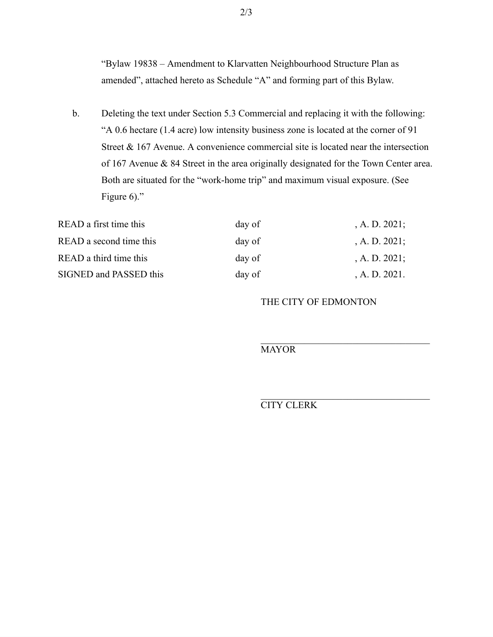"Bylaw 19838 – Amendment to Klarvatten Neighbourhood Structure Plan as amended", attached hereto as Schedule "A" and forming part of this Bylaw.

b. Deleting the text under Section 5.3 Commercial and replacing it with the following: "A 0.6 hectare (1.4 acre) low intensity business zone is located at the corner of 91 Street & 167 Avenue. A convenience commercial site is located near the intersection of 167 Avenue & 84 Street in the area originally designated for the Town Center area. Both are situated for the "work-home trip" and maximum visual exposure. (See Figure 6)."

| READ a first time this  | day of | , A. D. $2021$ ; |
|-------------------------|--------|------------------|
| READ a second time this | day of | , A. D. $2021$ ; |
| READ a third time this  | day of | , A. D. $2021$ ; |
| SIGNED and PASSED this  | day of | A. D. 2021.      |

## THE CITY OF EDMONTON

MAYOR

## CITY CLERK